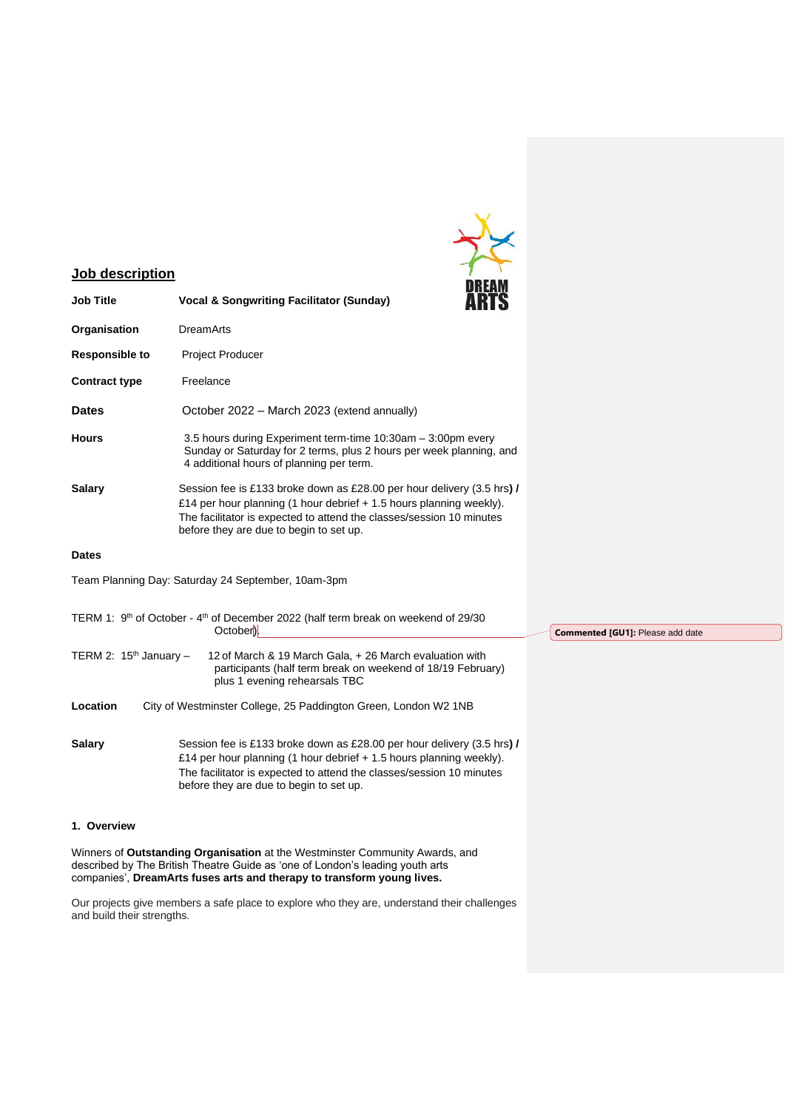

# **Job description**

| <b>Job Title</b>         | <u>DNEAM</u><br><b>Vocal &amp; Songwriting Facilitator (Sunday)</b>                                                                                                                                                                                              |
|--------------------------|------------------------------------------------------------------------------------------------------------------------------------------------------------------------------------------------------------------------------------------------------------------|
| Organisation             | <b>DreamArts</b>                                                                                                                                                                                                                                                 |
| <b>Responsible to</b>    | <b>Project Producer</b>                                                                                                                                                                                                                                          |
| <b>Contract type</b>     | Freelance                                                                                                                                                                                                                                                        |
| <b>Dates</b>             | October 2022 - March 2023 (extend annually)                                                                                                                                                                                                                      |
| <b>Hours</b>             | 3.5 hours during Experiment term-time 10:30am - 3:00pm every<br>Sunday or Saturday for 2 terms, plus 2 hours per week planning, and<br>4 additional hours of planning per term.                                                                                  |
| <b>Salary</b>            | Session fee is £133 broke down as £28.00 per hour delivery (3.5 hrs) /<br>£14 per hour planning (1 hour debrief + 1.5 hours planning weekly).<br>The facilitator is expected to attend the classes/session 10 minutes<br>before they are due to begin to set up. |
| <b>Dates</b>             |                                                                                                                                                                                                                                                                  |
|                          | Team Planning Day: Saturday 24 September, 10am-3pm                                                                                                                                                                                                               |
|                          | TERM 1: 9 <sup>th</sup> of October - 4 <sup>th</sup> of December 2022 (half term break on weekend of 29/30<br>October).                                                                                                                                          |
| TERM 2: $15th$ January - | 12 of March & 19 March Gala, + 26 March evaluation with<br>participants (half term break on weekend of 18/19 February)<br>plus 1 evening rehearsals TBC                                                                                                          |
| Location                 | City of Westminster College, 25 Paddington Green, London W2 1NB                                                                                                                                                                                                  |
| <b>Salary</b>            | Session fee is £133 broke down as £28.00 per hour delivery (3.5 hrs) /<br>£14 per hour planning (1 hour debrief + 1.5 hours planning weekly).<br>The facilitator is expected to attend the classes/session 10 minutes<br>before they are due to begin to set up. |

# **1. Overview**

Winners of **Outstanding Organisation** at the Westminster Community Awards, and described by The British Theatre Guide as 'one of London's leading youth arts companies', **DreamArts fuses arts and therapy to transform young lives.** 

Our projects give members a safe place to explore who they are, understand their challenges and build their strengths.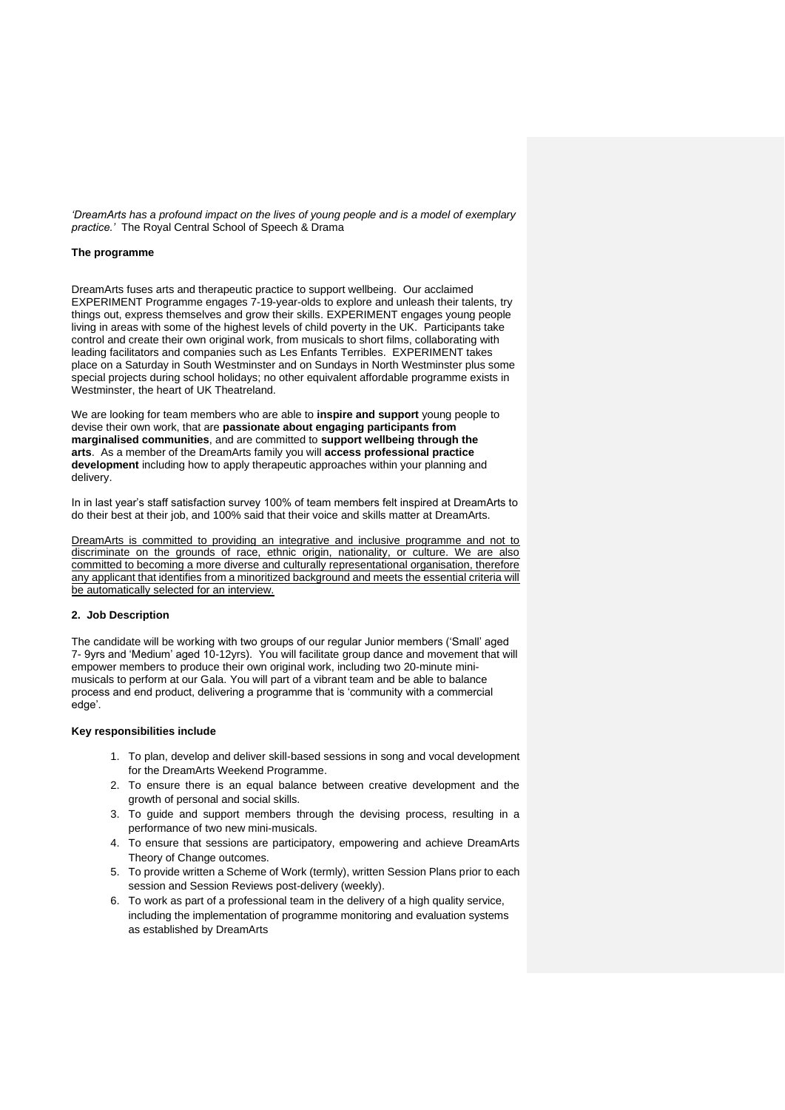*'DreamArts has a profound impact on the lives of young people and is a model of exemplary practice.'* The Royal Central School of Speech & Drama

# **The programme**

DreamArts fuses arts and therapeutic practice to support wellbeing. Our acclaimed EXPERIMENT Programme engages 7-19-year-olds to explore and unleash their talents, try things out, express themselves and grow their skills. EXPERIMENT engages young people living in areas with some of the highest levels of child poverty in the UK. Participants take control and create their own original work, from musicals to short films, collaborating with leading facilitators and companies such as Les Enfants Terribles. EXPERIMENT takes place on a Saturday in South Westminster and on Sundays in North Westminster plus some special projects during school holidays; no other equivalent affordable programme exists in Westminster, the heart of UK Theatreland.

We are looking for team members who are able to **inspire and support** young people to devise their own work, that are **passionate about engaging participants from marginalised communities**, and are committed to **support wellbeing through the arts**. As a member of the DreamArts family you will **access professional practice development** including how to apply therapeutic approaches within your planning and delivery.

In in last year's staff satisfaction survey 100% of team members felt inspired at DreamArts to do their best at their job, and 100% said that their voice and skills matter at DreamArts.

DreamArts is committed to providing an integrative and inclusive programme and not to discriminate on the grounds of race, ethnic origin, nationality, or culture. We are also committed to becoming a more diverse and culturally representational organisation, therefore any applicant that identifies from a minoritized background and meets the essential criteria will be automatically selected for an interview.

### **2. Job Description**

The candidate will be working with two groups of our regular Junior members ('Small' aged 7- 9yrs and 'Medium' aged 10-12yrs). You will facilitate group dance and movement that will empower members to produce their own original work, including two 20-minute minimusicals to perform at our Gala. You will part of a vibrant team and be able to balance process and end product, delivering a programme that is 'community with a commercial edge'.

#### **Key responsibilities include**

- 1. To plan, develop and deliver skill-based sessions in song and vocal development for the DreamArts Weekend Programme.
- 2. To ensure there is an equal balance between creative development and the growth of personal and social skills.
- 3. To guide and support members through the devising process, resulting in a performance of two new mini-musicals.
- 4. To ensure that sessions are participatory, empowering and achieve DreamArts Theory of Change outcomes.
- 5. To provide written a Scheme of Work (termly), written Session Plans prior to each session and Session Reviews post-delivery (weekly).
- 6. To work as part of a professional team in the delivery of a high quality service, including the implementation of programme monitoring and evaluation systems as established by DreamArts